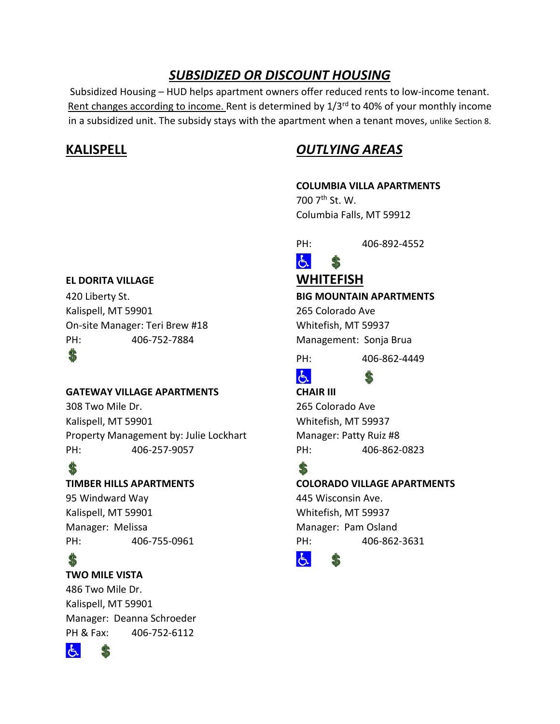# *SUBSIDIZED OR DISCOUNT HOUSING*

Subsidized Housing – HUD helps apartment owners offer reduced rents to low-income tenant. Rent changes according to income. Rent is determined by 1/3<sup>rd</sup> to 40% of your monthly income in a subsidized unit. The subsidy stays with the apartment when a tenant moves, unlike Section 8.

# **KALISPELL** *OUTLYING AREAS*

## **COLUMBIA VILLA APARTMENTS**

700 7th St. W. Columbia Falls, MT 59912

PH: 406-892-4552

### $E$ \$

PH: 406-862-4449

# よー

\$

## **TIMBER HILLS APARTMENTS COLORADO VILLAGE APARTMENTS**

PH: 406-755-0961 PH: 406-862-3631



## **EL DORITA VILLAGE WHITEFISH**

420 Liberty St. **BIG MOUNTAIN APARTMENTS** Kalispell, MT 59901 265 Colorado Ave On-site Manager: Teri Brew #18 Whitefish, MT 59937 PH: 406-752-7884 Management: Sonja Brua

# S

## **GATEWAY VILLAGE APARTMENTS CHAIR III**

308 Two Mile Dr. 265 Colorado Ave Kalispell, MT 59901 Whitefish, MT 59937 Property Management by: Julie Lockhart Manager: Patty Ruiz #8 PH: 406-257-9057 PH: 406-862-0823

95 Windward Way 445 Wisconsin Ave. Kalispell, MT 59901 Whitefish, MT 59937 Manager: Melissa Manager: Pam Osland

# \$

## **TWO MILE VISTA**

486 Two Mile Dr. Kalispell, MT 59901 Manager: Deanna Schroeder PH & Fax: 406-752-6112